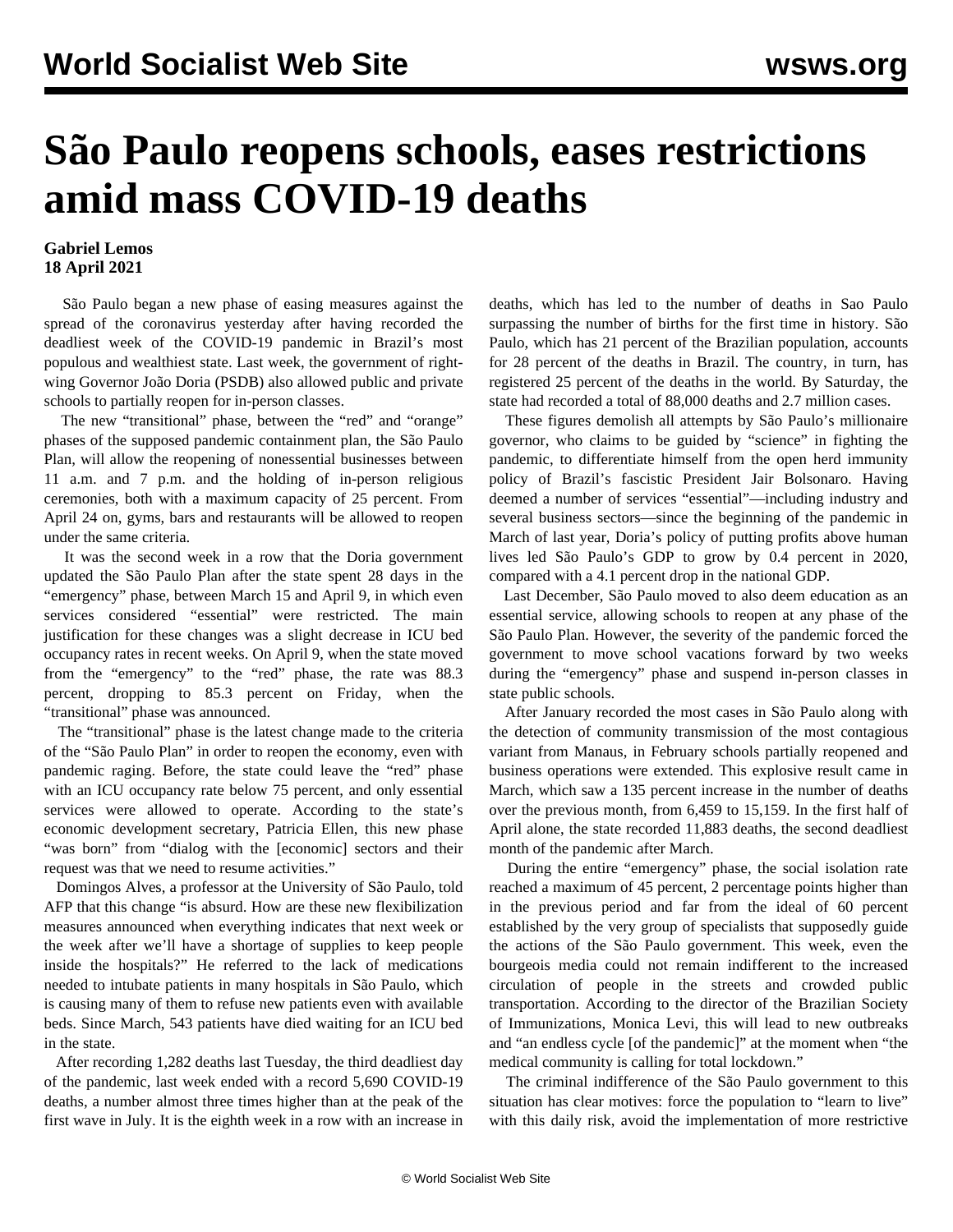## **São Paulo reopens schools, eases restrictions amid mass COVID-19 deaths**

## **Gabriel Lemos 18 April 2021**

 São Paulo began a new phase of easing measures against the spread of the coronavirus yesterday after having recorded the deadliest week of the COVID-19 pandemic in Brazil's most populous and wealthiest state. Last week, the government of rightwing Governor João Doria (PSDB) also allowed public and private schools to partially reopen for in-person classes.

 The new "transitional" phase, between the "red" and "orange" phases of the supposed pandemic containment plan, the São Paulo Plan, will allow the reopening of nonessential businesses between 11 a.m. and 7 p.m. and the holding of in-person religious ceremonies, both with a maximum capacity of 25 percent. From April 24 on, gyms, bars and restaurants will be allowed to reopen under the same criteria.

 It was the second week in a row that the Doria government updated the São Paulo Plan after the state spent 28 days in the "emergency" phase, between March 15 and April 9, in which even services considered "essential" were restricted. The main justification for these changes was a slight decrease in ICU bed occupancy rates in recent weeks. On April 9, when the state moved from the "emergency" to the "red" phase, the rate was 88.3 percent, dropping to 85.3 percent on Friday, when the "transitional" phase was announced.

 The "transitional" phase is the latest change made to the criteria of the "São Paulo Plan" in order to reopen the economy, even with pandemic raging. Before, the state could leave the "red" phase with an ICU occupancy rate below 75 percent, and only essential services were allowed to operate. According to the state's economic development secretary, Patricia Ellen, this new phase "was born" from "dialog with the [economic] sectors and their request was that we need to resume activities."

 Domingos Alves, a professor at the University of São Paulo, told AFP that this change "is absurd. How are these new flexibilization measures announced when everything indicates that next week or the week after we'll have a shortage of supplies to keep people inside the hospitals?" He referred to the lack of medications needed to intubate patients in many hospitals in São Paulo, which is causing many of them to refuse new patients even with available beds. Since March, 543 patients have died waiting for an ICU bed in the state.

 After recording 1,282 deaths last Tuesday, the third deadliest day of the pandemic, last week ended with a record 5,690 COVID-19 deaths, a number almost three times higher than at the peak of the first wave in July. It is the eighth week in a row with an increase in deaths, which has led to the number of deaths in Sao Paulo surpassing the number of births for the first time in history. São Paulo, which has 21 percent of the Brazilian population, accounts for 28 percent of the deaths in Brazil. The country, in turn, has registered 25 percent of the deaths in the world. By Saturday, the state had recorded a total of 88,000 deaths and 2.7 million cases.

 These figures demolish all attempts by São Paulo's millionaire governor, who claims to be guided by "science" in fighting the pandemic, to differentiate himself from the open herd immunity policy of Brazil's fascistic President Jair Bolsonaro. Having deemed a number of services "essential"—including industry and several business sectors—since the beginning of the pandemic in March of last year, Doria's policy of putting profits above human lives led São Paulo's GDP to grow by 0.4 percent in 2020, compared with a 4.1 percent drop in the national GDP.

 Last December, São Paulo moved to also deem education as an essential service, allowing schools to reopen at any phase of the São Paulo Plan. However, the severity of the pandemic forced the government to move school vacations forward by two weeks during the "emergency" phase and suspend in-person classes in state public schools.

 After January recorded the most cases in São Paulo along with the detection of community transmission of the most contagious variant from Manaus, in February schools partially reopened and business operations were extended. This explosive result came in March, which saw a 135 percent increase in the number of deaths over the previous month, from 6,459 to 15,159. In the first half of April alone, the state recorded 11,883 deaths, the second deadliest month of the pandemic after March.

 During the entire "emergency" phase, the social isolation rate reached a maximum of 45 percent, 2 percentage points higher than in the previous period and far from the ideal of 60 percent established by the very group of specialists that supposedly guide the actions of the São Paulo government. This week, even the bourgeois media could not remain indifferent to the increased circulation of people in the streets and crowded public transportation. According to the director of the Brazilian Society of Immunizations, Monica Levi, this will lead to new outbreaks and "an endless cycle [of the pandemic]" at the moment when "the medical community is calling for total lockdown."

 The criminal indifference of the São Paulo government to this situation has clear motives: force the population to "learn to live" with this daily risk, avoid the implementation of more restrictive